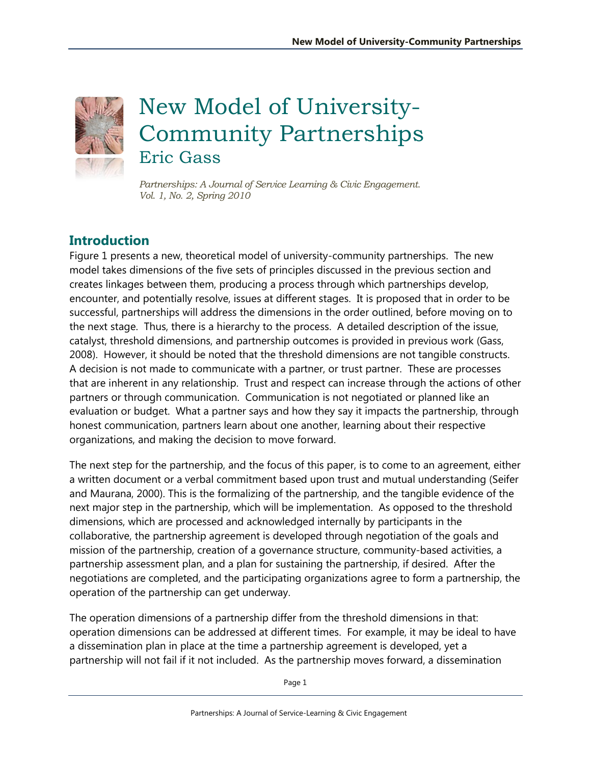

# New Model of University-Community Partnerships Eric Gass

*Partnerships: A Journal of Service Learning & Civic Engagement. Vol. 1, No. 2, Spring 2010*

## **Introduction**

Figure 1 presents a new, theoretical model of university-community partnerships. The new model takes dimensions of the five sets of principles discussed in the previous section and creates linkages between them, producing a process through which partnerships develop, encounter, and potentially resolve, issues at different stages. It is proposed that in order to be successful, partnerships will address the dimensions in the order outlined, before moving on to the next stage. Thus, there is a hierarchy to the process. A detailed description of the issue, catalyst, threshold dimensions, and partnership outcomes is provided in previous work (Gass, 2008). However, it should be noted that the threshold dimensions are not tangible constructs. A decision is not made to communicate with a partner, or trust partner. These are processes that are inherent in any relationship. Trust and respect can increase through the actions of other partners or through communication. Communication is not negotiated or planned like an evaluation or budget. What a partner says and how they say it impacts the partnership, through honest communication, partners learn about one another, learning about their respective organizations, and making the decision to move forward.

The next step for the partnership, and the focus of this paper, is to come to an agreement, either a written document or a verbal commitment based upon trust and mutual understanding (Seifer and Maurana, 2000). This is the formalizing of the partnership, and the tangible evidence of the next major step in the partnership, which will be implementation. As opposed to the threshold dimensions, which are processed and acknowledged internally by participants in the collaborative, the partnership agreement is developed through negotiation of the goals and mission of the partnership, creation of a governance structure, community-based activities, a partnership assessment plan, and a plan for sustaining the partnership, if desired. After the negotiations are completed, and the participating organizations agree to form a partnership, the operation of the partnership can get underway.

The operation dimensions of a partnership differ from the threshold dimensions in that: operation dimensions can be addressed at different times. For example, it may be ideal to have a dissemination plan in place at the time a partnership agreement is developed, yet a partnership will not fail if it not included. As the partnership moves forward, a dissemination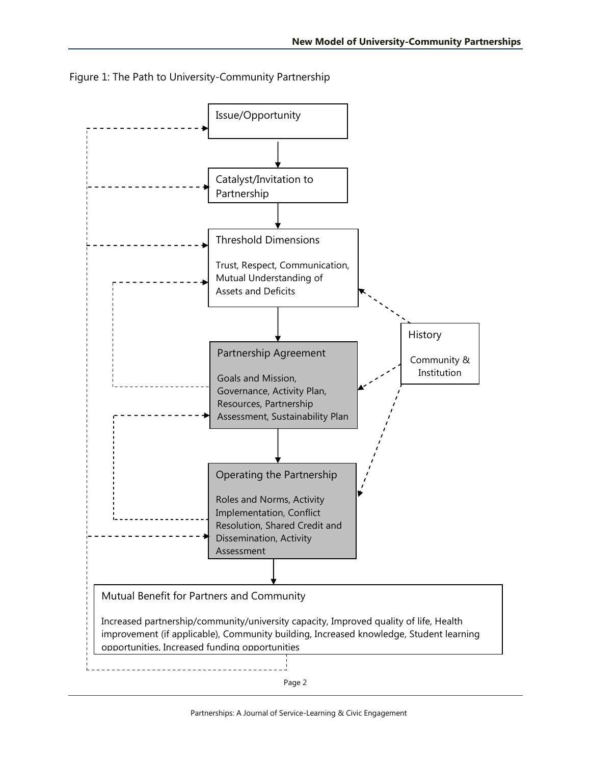

Figure 1: The Path to University-Community Partnership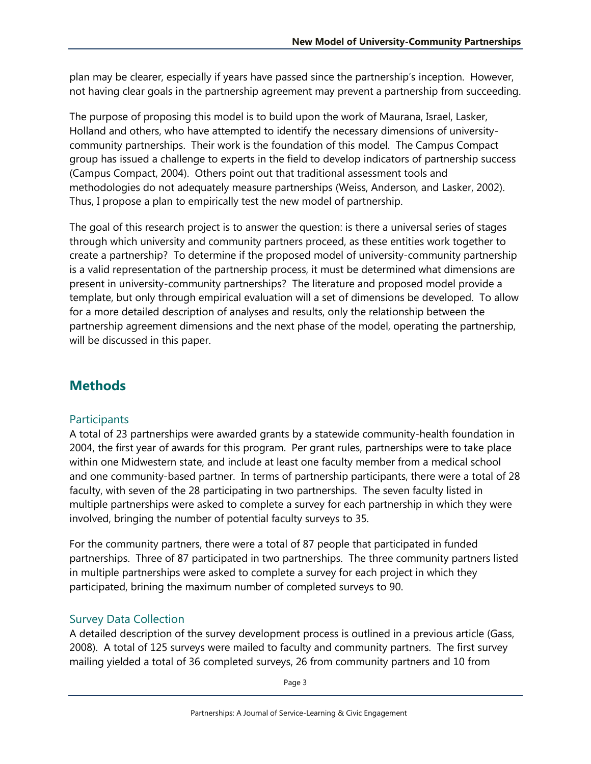plan may be clearer, especially if years have passed since the partnership's inception. However, not having clear goals in the partnership agreement may prevent a partnership from succeeding.

The purpose of proposing this model is to build upon the work of Maurana, Israel, Lasker, Holland and others, who have attempted to identify the necessary dimensions of universitycommunity partnerships. Their work is the foundation of this model. The Campus Compact group has issued a challenge to experts in the field to develop indicators of partnership success (Campus Compact, 2004). Others point out that traditional assessment tools and methodologies do not adequately measure partnerships (Weiss, Anderson, and Lasker, 2002). Thus, I propose a plan to empirically test the new model of partnership.

The goal of this research project is to answer the question: is there a universal series of stages through which university and community partners proceed, as these entities work together to create a partnership? To determine if the proposed model of university-community partnership is a valid representation of the partnership process, it must be determined what dimensions are present in university-community partnerships? The literature and proposed model provide a template, but only through empirical evaluation will a set of dimensions be developed. To allow for a more detailed description of analyses and results, only the relationship between the partnership agreement dimensions and the next phase of the model, operating the partnership, will be discussed in this paper.

# **Methods**

#### **Participants**

A total of 23 partnerships were awarded grants by a statewide community-health foundation in 2004, the first year of awards for this program. Per grant rules, partnerships were to take place within one Midwestern state, and include at least one faculty member from a medical school and one community-based partner. In terms of partnership participants, there were a total of 28 faculty, with seven of the 28 participating in two partnerships. The seven faculty listed in multiple partnerships were asked to complete a survey for each partnership in which they were involved, bringing the number of potential faculty surveys to 35.

For the community partners, there were a total of 87 people that participated in funded partnerships. Three of 87 participated in two partnerships. The three community partners listed in multiple partnerships were asked to complete a survey for each project in which they participated, brining the maximum number of completed surveys to 90.

#### Survey Data Collection

A detailed description of the survey development process is outlined in a previous article (Gass, 2008). A total of 125 surveys were mailed to faculty and community partners. The first survey mailing yielded a total of 36 completed surveys, 26 from community partners and 10 from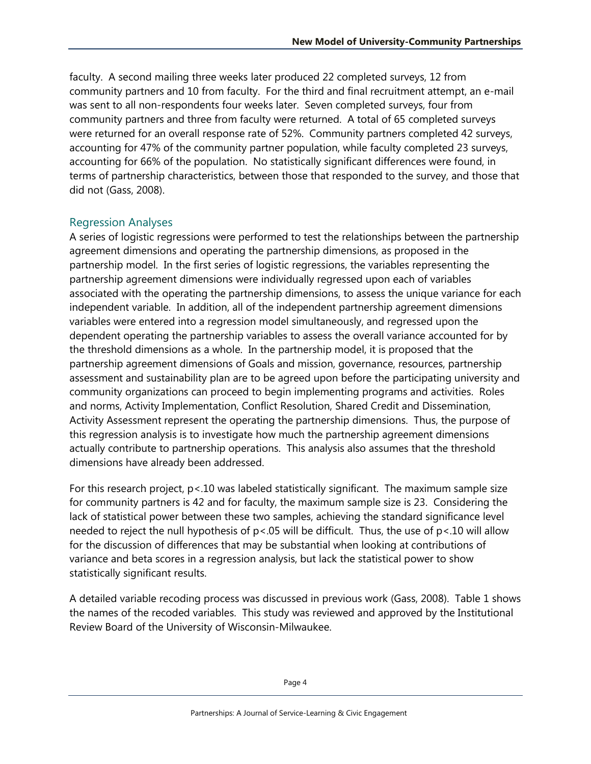faculty. A second mailing three weeks later produced 22 completed surveys, 12 from community partners and 10 from faculty. For the third and final recruitment attempt, an e-mail was sent to all non-respondents four weeks later. Seven completed surveys, four from community partners and three from faculty were returned. A total of 65 completed surveys were returned for an overall response rate of 52%. Community partners completed 42 surveys, accounting for 47% of the community partner population, while faculty completed 23 surveys, accounting for 66% of the population. No statistically significant differences were found, in terms of partnership characteristics, between those that responded to the survey, and those that did not (Gass, 2008).

#### Regression Analyses

A series of logistic regressions were performed to test the relationships between the partnership agreement dimensions and operating the partnership dimensions, as proposed in the partnership model. In the first series of logistic regressions, the variables representing the partnership agreement dimensions were individually regressed upon each of variables associated with the operating the partnership dimensions, to assess the unique variance for each independent variable. In addition, all of the independent partnership agreement dimensions variables were entered into a regression model simultaneously, and regressed upon the dependent operating the partnership variables to assess the overall variance accounted for by the threshold dimensions as a whole. In the partnership model, it is proposed that the partnership agreement dimensions of Goals and mission, governance, resources, partnership assessment and sustainability plan are to be agreed upon before the participating university and community organizations can proceed to begin implementing programs and activities. Roles and norms, Activity Implementation, Conflict Resolution, Shared Credit and Dissemination, Activity Assessment represent the operating the partnership dimensions. Thus, the purpose of this regression analysis is to investigate how much the partnership agreement dimensions actually contribute to partnership operations. This analysis also assumes that the threshold dimensions have already been addressed.

For this research project,  $p < 10$  was labeled statistically significant. The maximum sample size for community partners is 42 and for faculty, the maximum sample size is 23. Considering the lack of statistical power between these two samples, achieving the standard significance level needed to reject the null hypothesis of p<.05 will be difficult. Thus, the use of p<.10 will allow for the discussion of differences that may be substantial when looking at contributions of variance and beta scores in a regression analysis, but lack the statistical power to show statistically significant results.

A detailed variable recoding process was discussed in previous work (Gass, 2008). Table 1 shows the names of the recoded variables. This study was reviewed and approved by the Institutional Review Board of the University of Wisconsin-Milwaukee.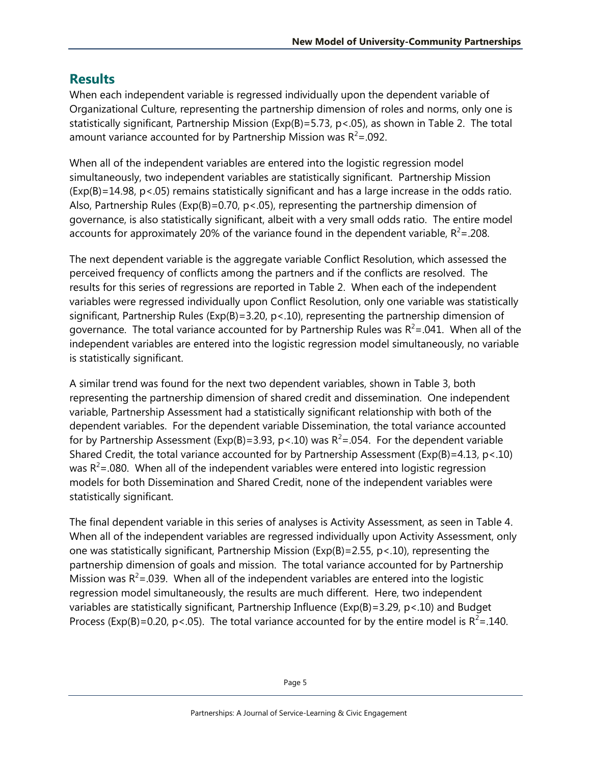## **Results**

When each independent variable is regressed individually upon the dependent variable of Organizational Culture, representing the partnership dimension of roles and norms, only one is statistically significant, Partnership Mission (Exp(B)=5.73, p<.05), as shown in Table 2. The total amount variance accounted for by Partnership Mission was  $R^2 = .092$ .

When all of the independent variables are entered into the logistic regression model simultaneously, two independent variables are statistically significant. Partnership Mission  $(Exp(B)=14.98, p<.05)$  remains statistically significant and has a large increase in the odds ratio. Also, Partnership Rules ( $Exp(B)=0.70$ ,  $p<0.05$ ), representing the partnership dimension of governance, is also statistically significant, albeit with a very small odds ratio. The entire model accounts for approximately 20% of the variance found in the dependent variable,  $R^2$ =.208.

The next dependent variable is the aggregate variable Conflict Resolution, which assessed the perceived frequency of conflicts among the partners and if the conflicts are resolved. The results for this series of regressions are reported in Table 2. When each of the independent variables were regressed individually upon Conflict Resolution, only one variable was statistically significant, Partnership Rules (Exp(B)=3.20, p<.10), representing the partnership dimension of governance. The total variance accounted for by Partnership Rules was  $R^2$ =.041. When all of the independent variables are entered into the logistic regression model simultaneously, no variable is statistically significant.

A similar trend was found for the next two dependent variables, shown in Table 3, both representing the partnership dimension of shared credit and dissemination. One independent variable, Partnership Assessment had a statistically significant relationship with both of the dependent variables. For the dependent variable Dissemination, the total variance accounted for by Partnership Assessment (Exp(B)=3.93, p < 10) was  $R^2$ =.054. For the dependent variable Shared Credit, the total variance accounted for by Partnership Assessment (Exp(B)=4.13, p<.10) was  $R^2$ =.080. When all of the independent variables were entered into logistic regression models for both Dissemination and Shared Credit, none of the independent variables were statistically significant.

The final dependent variable in this series of analyses is Activity Assessment, as seen in Table 4. When all of the independent variables are regressed individually upon Activity Assessment, only one was statistically significant, Partnership Mission (Exp(B)=2.55, p<.10), representing the partnership dimension of goals and mission. The total variance accounted for by Partnership Mission was  $R^2$ =.039. When all of the independent variables are entered into the logistic regression model simultaneously, the results are much different. Here, two independent variables are statistically significant, Partnership Influence (Exp(B)=3.29, p<.10) and Budget Process (Exp(B)=0.20, p<.05). The total variance accounted for by the entire model is  $R^2$ =.140.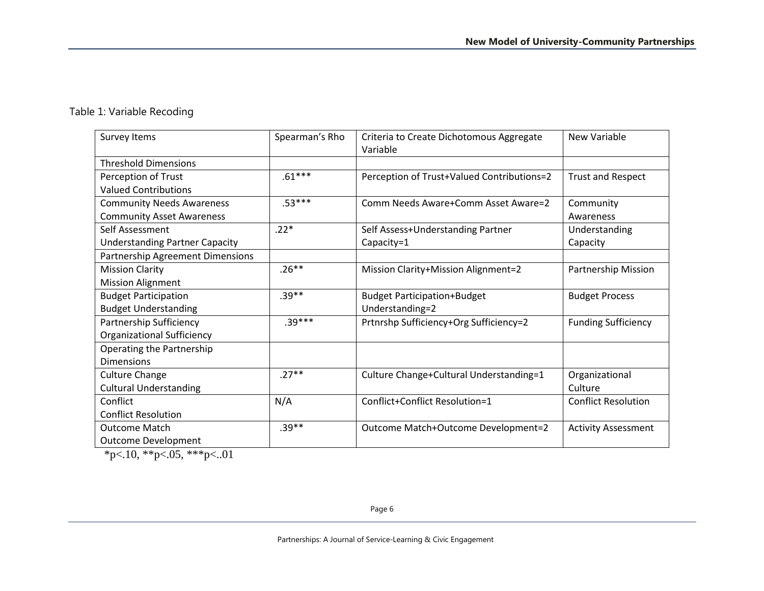#### Table 1: Variable Recoding

| Survey Items                          | Spearman's Rho | Criteria to Create Dichotomous Aggregate   | <b>New Variable</b>        |
|---------------------------------------|----------------|--------------------------------------------|----------------------------|
|                                       |                | Variable                                   |                            |
| <b>Threshold Dimensions</b>           |                |                                            |                            |
| Perception of Trust                   | $.61***$       | Perception of Trust+Valued Contributions=2 | <b>Trust and Respect</b>   |
| <b>Valued Contributions</b>           |                |                                            |                            |
| <b>Community Needs Awareness</b>      | $.53***$       | Comm Needs Aware+Comm Asset Aware=2        | Community                  |
| <b>Community Asset Awareness</b>      |                |                                            | Awareness                  |
| Self Assessment                       | $.22*$         | Self Assess+Understanding Partner          | Understanding              |
| <b>Understanding Partner Capacity</b> |                | Capacity=1                                 | Capacity                   |
| Partnership Agreement Dimensions      |                |                                            |                            |
| <b>Mission Clarity</b>                | $.26***$       | Mission Clarity+Mission Alignment=2        | Partnership Mission        |
| <b>Mission Alignment</b>              |                |                                            |                            |
| <b>Budget Participation</b>           | $.39**$        | <b>Budget Participation+Budget</b>         | <b>Budget Process</b>      |
| <b>Budget Understanding</b>           |                | Understanding=2                            |                            |
| Partnership Sufficiency               | $.39***$       | Prtnrshp Sufficiency+Org Sufficiency=2     | <b>Funding Sufficiency</b> |
| <b>Organizational Sufficiency</b>     |                |                                            |                            |
| Operating the Partnership             |                |                                            |                            |
| <b>Dimensions</b>                     |                |                                            |                            |
| <b>Culture Change</b>                 | $.27***$       | Culture Change+Cultural Understanding=1    | Organizational             |
| <b>Cultural Understanding</b>         |                |                                            | Culture                    |
| Conflict                              | N/A            | Conflict+Conflict Resolution=1             | <b>Conflict Resolution</b> |
| <b>Conflict Resolution</b>            |                |                                            |                            |
| <b>Outcome Match</b>                  | $.39**$        | Outcome Match+Outcome Development=2        | <b>Activity Assessment</b> |
| <b>Outcome Development</b>            |                |                                            |                            |

 $*p<.10, **p<.05, **p<.01$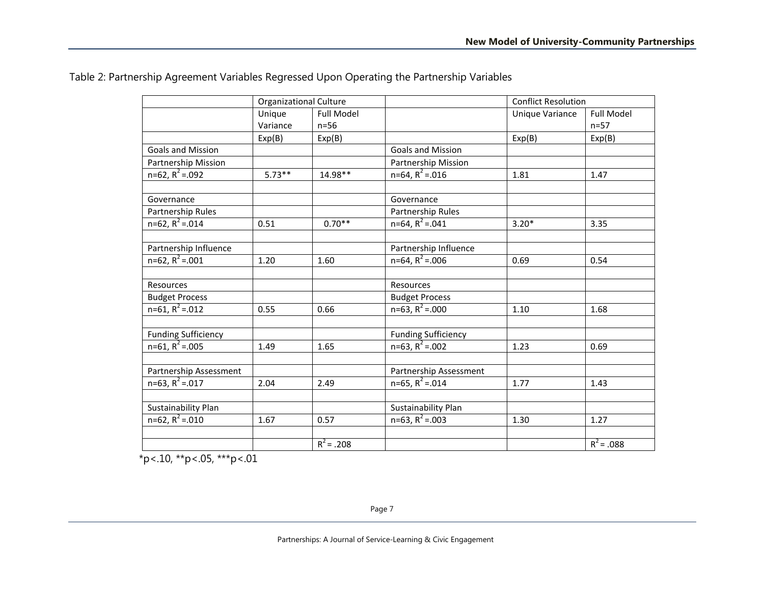|                                           | <b>Organizational Culture</b> |                         |                                           | <b>Conflict Resolution</b> |                   |
|-------------------------------------------|-------------------------------|-------------------------|-------------------------------------------|----------------------------|-------------------|
|                                           | Unique                        | <b>Full Model</b>       |                                           | <b>Unique Variance</b>     | <b>Full Model</b> |
|                                           | Variance                      | $n=56$                  |                                           |                            | $n=57$            |
|                                           | Exp(B)                        | Exp(B)                  |                                           | Exp(B)                     | Exp(B)            |
| <b>Goals and Mission</b>                  |                               |                         | <b>Goals and Mission</b>                  |                            |                   |
| Partnership Mission                       |                               |                         | Partnership Mission                       |                            |                   |
| $n=62, R^2=.092$                          | $5.73**$                      | 14.98**                 | $n=64$ , $R^2 = .016$                     | 1.81                       | 1.47              |
| Governance                                |                               |                         | Governance                                |                            |                   |
| Partnership Rules                         |                               |                         | Partnership Rules                         |                            |                   |
| $n=62, R^2=.014$                          | 0.51                          | $0.70**$                | $n=64$ , $R^2 = .041$                     | $3.20*$                    | 3.35              |
|                                           |                               |                         |                                           |                            |                   |
| Partnership Influence                     |                               |                         | Partnership Influence                     |                            |                   |
| $n=62, R^2=.001$                          | 1.20                          | 1.60                    | $n=64$ , $R^2 = .006$                     | 0.69                       | 0.54              |
|                                           |                               |                         |                                           |                            |                   |
| Resources                                 |                               |                         | Resources                                 |                            |                   |
| <b>Budget Process</b><br>$n=61, R^2=.012$ |                               |                         | <b>Budget Process</b><br>$n=63, R^2=.000$ |                            |                   |
|                                           | 0.55                          | 0.66                    |                                           | 1.10                       | 1.68              |
| <b>Funding Sufficiency</b>                |                               |                         | <b>Funding Sufficiency</b>                |                            |                   |
| $n=61, R^2=.005$                          | 1.49                          | 1.65                    | $n=63, R^2=.002$                          | 1.23                       | 0.69              |
| Partnership Assessment                    |                               |                         | Partnership Assessment                    |                            |                   |
| $n=63$ , $R^2 = .017$                     | 2.04                          | 2.49                    | $n=65$ , $R^2 = .014$                     | 1.77                       | 1.43              |
|                                           |                               |                         |                                           |                            |                   |
| Sustainability Plan                       |                               |                         | Sustainability Plan                       |                            |                   |
| $n=62, R^2=.010$                          | 1.67                          | 0.57                    | $n=63, R^2=.003$                          | 1.30                       | 1.27              |
|                                           |                               |                         |                                           |                            |                   |
|                                           |                               | $\overline{R^2}$ = .208 |                                           |                            | $R^2$ = .088      |

 $*p$  <.10,  $*p$  <.05,  $**p$  <.01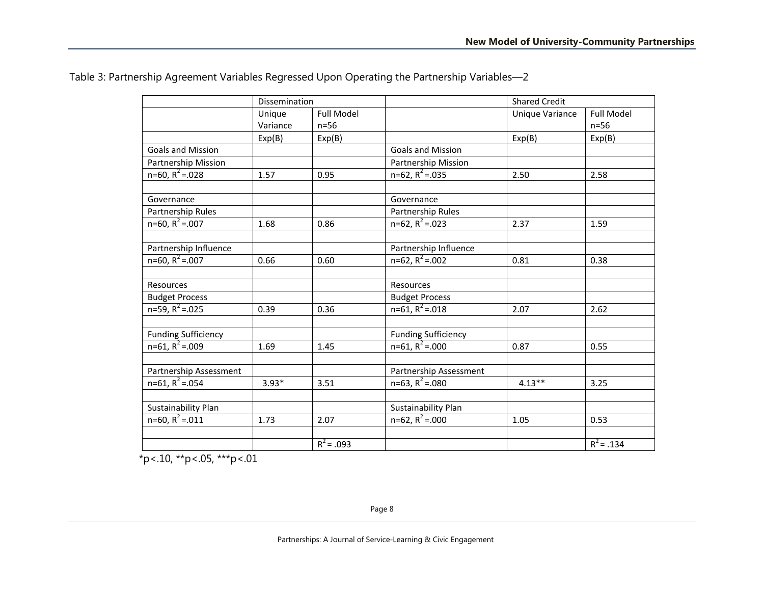|                            | Dissemination |                   |                            | <b>Shared Credit</b>   |                   |
|----------------------------|---------------|-------------------|----------------------------|------------------------|-------------------|
|                            | Unique        | <b>Full Model</b> |                            | <b>Unique Variance</b> | <b>Full Model</b> |
|                            | Variance      | $n=56$            |                            |                        | $n=56$            |
|                            | Exp(B)        | Exp(B)            |                            | Exp(B)                 | Exp(B)            |
| <b>Goals and Mission</b>   |               |                   | <b>Goals and Mission</b>   |                        |                   |
| Partnership Mission        |               |                   | Partnership Mission        |                        |                   |
| $n=60, R^2=.028$           | 1.57          | 0.95              | $n=62, R^2=.035$           | 2.50                   | 2.58              |
| Governance                 |               |                   | Governance                 |                        |                   |
| Partnership Rules          |               |                   | Partnership Rules          |                        |                   |
| $n=60, R^2=.007$           | 1.68          | 0.86              | $n=62, R^2=.023$           | 2.37                   | 1.59              |
| Partnership Influence      |               |                   | Partnership Influence      |                        |                   |
| $n=60, R^2=.007$           | 0.66          | 0.60              | $n=62, R^2=.002$           | 0.81                   | 0.38              |
| Resources                  |               |                   | Resources                  |                        |                   |
| <b>Budget Process</b>      |               |                   | <b>Budget Process</b>      |                        |                   |
| $n=59, R^2=.025$           | 0.39          | 0.36              | $n=61, R^2=.018$           | 2.07                   | 2.62              |
| <b>Funding Sufficiency</b> |               |                   | <b>Funding Sufficiency</b> |                        |                   |
| $n=61, R^2=.009$           | 1.69          | 1.45              | $n=61, R^2=.000$           | 0.87                   | 0.55              |
| Partnership Assessment     |               |                   | Partnership Assessment     |                        |                   |
| $n=61, R^2=.054$           | $3.93*$       | 3.51              | $n=63, R^2=.080$           | $4.13**$               | 3.25              |
| Sustainability Plan        |               |                   | Sustainability Plan        |                        |                   |
| $n=60, R^2=.011$           | 1.73          | 2.07              | $n=62, R^2=.000$           | 1.05                   | 0.53              |
|                            |               | $R^2 = .093$      |                            |                        | $R^2 = .134$      |

Table 3: Partnership Agreement Variables Regressed Upon Operating the Partnership Variables—2

 $*p$  <.10,  $*p$  <.05,  $**p$  <.01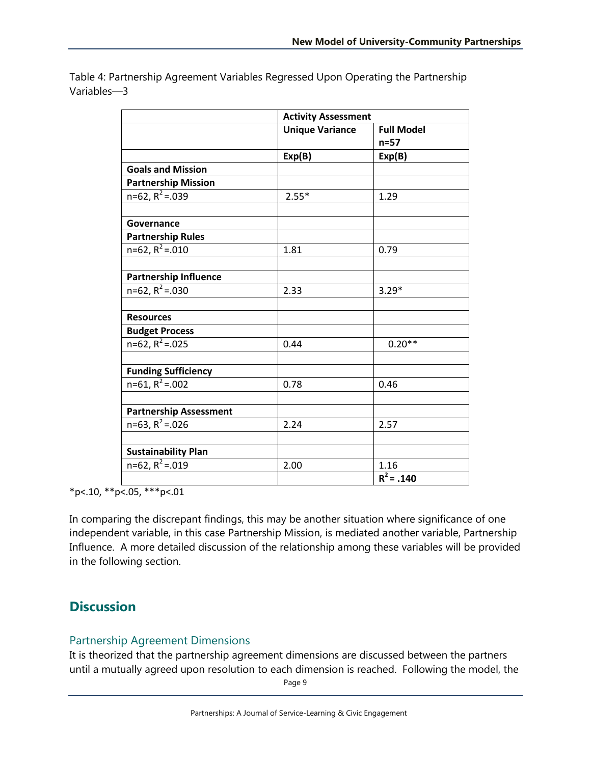|                               | <b>Activity Assessment</b> |                   |
|-------------------------------|----------------------------|-------------------|
|                               | <b>Unique Variance</b>     | <b>Full Model</b> |
|                               |                            | $n=57$            |
|                               | Exp(B)                     | Exp(B)            |
| <b>Goals and Mission</b>      |                            |                   |
| <b>Partnership Mission</b>    |                            |                   |
| $n=62, R^2=.039$              | $2.55*$                    | 1.29              |
|                               |                            |                   |
| Governance                    |                            |                   |
| <b>Partnership Rules</b>      |                            |                   |
| $n=62, R^2=.010$              | 1.81                       | 0.79              |
|                               |                            |                   |
| <b>Partnership Influence</b>  |                            |                   |
| $n=62$ , $R^2 = .030$         | 2.33                       | $3.29*$           |
|                               |                            |                   |
| <b>Resources</b>              |                            |                   |
| <b>Budget Process</b>         |                            |                   |
| $n=62, R^2=.025$              | 0.44                       | $0.20**$          |
|                               |                            |                   |
| <b>Funding Sufficiency</b>    |                            |                   |
| $n=61, R^2=.002$              | 0.78                       | 0.46              |
|                               |                            |                   |
| <b>Partnership Assessment</b> |                            |                   |
| $n=63, R^2=.026$              | 2.24                       | 2.57              |
|                               |                            |                   |
| <b>Sustainability Plan</b>    |                            |                   |
| $n=62, R^2=.019$              | 2.00                       | 1.16              |
|                               |                            | $R^2$ = .140      |

Table 4: Partnership Agreement Variables Regressed Upon Operating the Partnership Variables—3

\*p<.10, \*\*p<.05, \*\*\*p<.01

In comparing the discrepant findings, this may be another situation where significance of one independent variable, in this case Partnership Mission, is mediated another variable, Partnership Influence. A more detailed discussion of the relationship among these variables will be provided in the following section.

## **Discussion**

#### Partnership Agreement Dimensions

It is theorized that the partnership agreement dimensions are discussed between the partners until a mutually agreed upon resolution to each dimension is reached. Following the model, the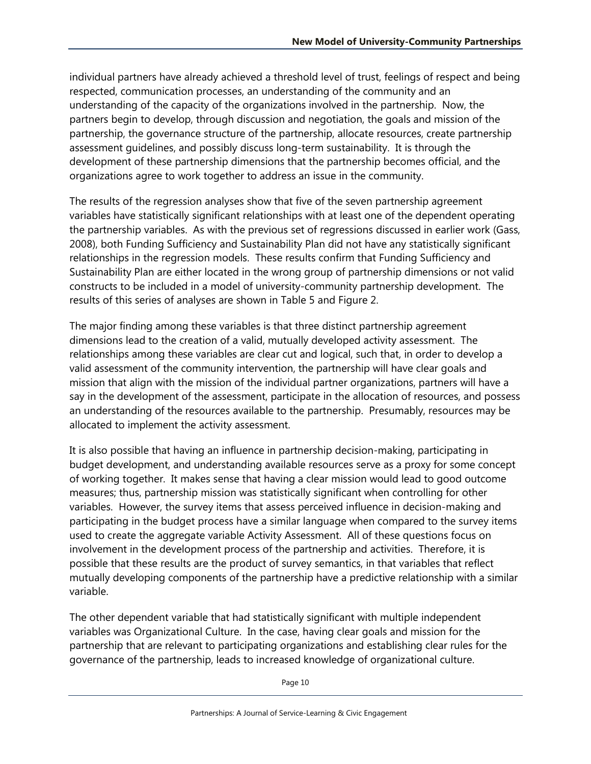individual partners have already achieved a threshold level of trust, feelings of respect and being respected, communication processes, an understanding of the community and an understanding of the capacity of the organizations involved in the partnership. Now, the partners begin to develop, through discussion and negotiation, the goals and mission of the partnership, the governance structure of the partnership, allocate resources, create partnership assessment guidelines, and possibly discuss long-term sustainability. It is through the development of these partnership dimensions that the partnership becomes official, and the organizations agree to work together to address an issue in the community.

The results of the regression analyses show that five of the seven partnership agreement variables have statistically significant relationships with at least one of the dependent operating the partnership variables. As with the previous set of regressions discussed in earlier work (Gass, 2008), both Funding Sufficiency and Sustainability Plan did not have any statistically significant relationships in the regression models. These results confirm that Funding Sufficiency and Sustainability Plan are either located in the wrong group of partnership dimensions or not valid constructs to be included in a model of university-community partnership development. The results of this series of analyses are shown in Table 5 and Figure 2.

The major finding among these variables is that three distinct partnership agreement dimensions lead to the creation of a valid, mutually developed activity assessment. The relationships among these variables are clear cut and logical, such that, in order to develop a valid assessment of the community intervention, the partnership will have clear goals and mission that align with the mission of the individual partner organizations, partners will have a say in the development of the assessment, participate in the allocation of resources, and possess an understanding of the resources available to the partnership. Presumably, resources may be allocated to implement the activity assessment.

It is also possible that having an influence in partnership decision-making, participating in budget development, and understanding available resources serve as a proxy for some concept of working together. It makes sense that having a clear mission would lead to good outcome measures; thus, partnership mission was statistically significant when controlling for other variables. However, the survey items that assess perceived influence in decision-making and participating in the budget process have a similar language when compared to the survey items used to create the aggregate variable Activity Assessment. All of these questions focus on involvement in the development process of the partnership and activities. Therefore, it is possible that these results are the product of survey semantics, in that variables that reflect mutually developing components of the partnership have a predictive relationship with a similar variable.

The other dependent variable that had statistically significant with multiple independent variables was Organizational Culture. In the case, having clear goals and mission for the partnership that are relevant to participating organizations and establishing clear rules for the governance of the partnership, leads to increased knowledge of organizational culture.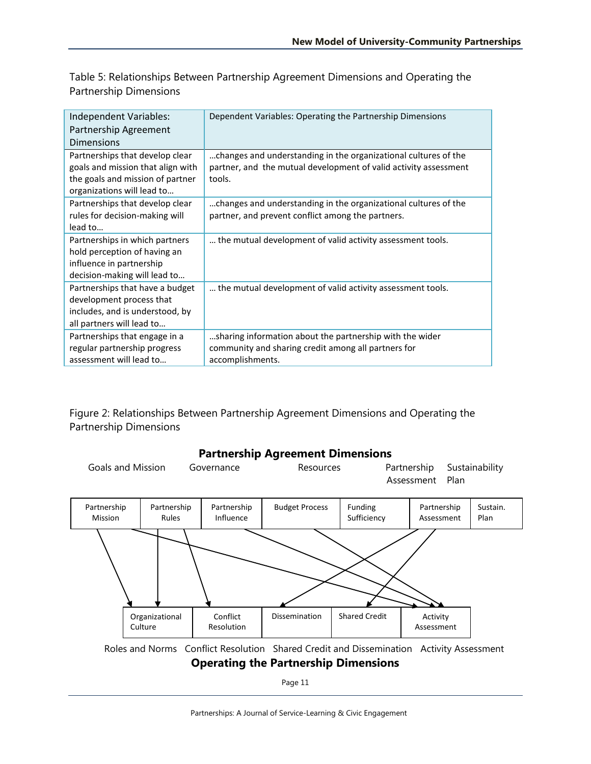Table 5: Relationships Between Partnership Agreement Dimensions and Operating the Partnership Dimensions

| Independent Variables:<br>Partnership Agreement<br><b>Dimensions</b>                                                                   | Dependent Variables: Operating the Partnership Dimensions                                                                                     |
|----------------------------------------------------------------------------------------------------------------------------------------|-----------------------------------------------------------------------------------------------------------------------------------------------|
| Partnerships that develop clear<br>goals and mission that align with<br>the goals and mission of partner<br>organizations will lead to | changes and understanding in the organizational cultures of the<br>partner, and the mutual development of valid activity assessment<br>tools. |
| Partnerships that develop clear<br>rules for decision-making will<br>lead to                                                           | changes and understanding in the organizational cultures of the<br>partner, and prevent conflict among the partners.                          |
| Partnerships in which partners<br>hold perception of having an<br>influence in partnership<br>decision-making will lead to             | the mutual development of valid activity assessment tools.                                                                                    |
| Partnerships that have a budget<br>development process that<br>includes, and is understood, by<br>all partners will lead to            | the mutual development of valid activity assessment tools.                                                                                    |
| Partnerships that engage in a<br>regular partnership progress<br>assessment will lead to                                               | sharing information about the partnership with the wider<br>community and sharing credit among all partners for<br>accomplishments.           |

Figure 2: Relationships Between Partnership Agreement Dimensions and Operating the Partnership Dimensions

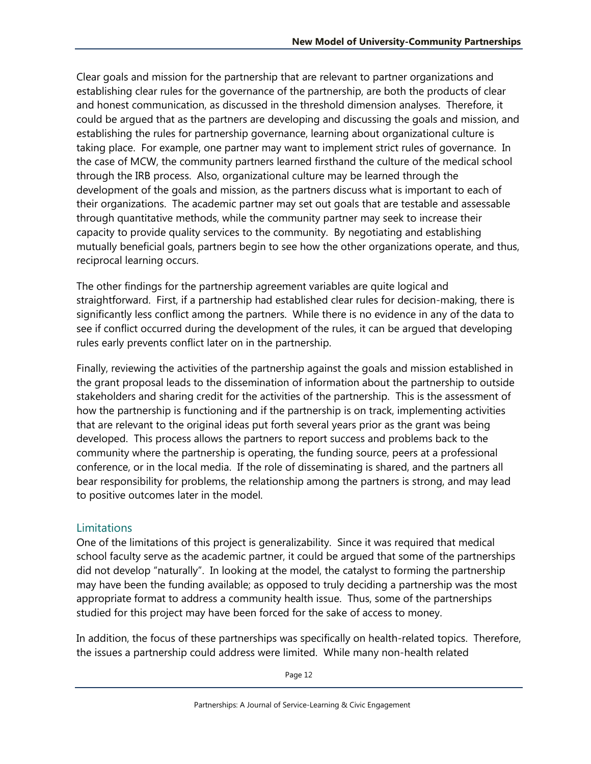Clear goals and mission for the partnership that are relevant to partner organizations and establishing clear rules for the governance of the partnership, are both the products of clear and honest communication, as discussed in the threshold dimension analyses. Therefore, it could be argued that as the partners are developing and discussing the goals and mission, and establishing the rules for partnership governance, learning about organizational culture is taking place. For example, one partner may want to implement strict rules of governance. In the case of MCW, the community partners learned firsthand the culture of the medical school through the IRB process. Also, organizational culture may be learned through the development of the goals and mission, as the partners discuss what is important to each of their organizations. The academic partner may set out goals that are testable and assessable through quantitative methods, while the community partner may seek to increase their capacity to provide quality services to the community. By negotiating and establishing mutually beneficial goals, partners begin to see how the other organizations operate, and thus, reciprocal learning occurs.

The other findings for the partnership agreement variables are quite logical and straightforward. First, if a partnership had established clear rules for decision-making, there is significantly less conflict among the partners. While there is no evidence in any of the data to see if conflict occurred during the development of the rules, it can be argued that developing rules early prevents conflict later on in the partnership.

Finally, reviewing the activities of the partnership against the goals and mission established in the grant proposal leads to the dissemination of information about the partnership to outside stakeholders and sharing credit for the activities of the partnership. This is the assessment of how the partnership is functioning and if the partnership is on track, implementing activities that are relevant to the original ideas put forth several years prior as the grant was being developed. This process allows the partners to report success and problems back to the community where the partnership is operating, the funding source, peers at a professional conference, or in the local media. If the role of disseminating is shared, and the partners all bear responsibility for problems, the relationship among the partners is strong, and may lead to positive outcomes later in the model.

#### **Limitations**

One of the limitations of this project is generalizability. Since it was required that medical school faculty serve as the academic partner, it could be argued that some of the partnerships did not develop "naturally". In looking at the model, the catalyst to forming the partnership may have been the funding available; as opposed to truly deciding a partnership was the most appropriate format to address a community health issue. Thus, some of the partnerships studied for this project may have been forced for the sake of access to money.

In addition, the focus of these partnerships was specifically on health-related topics. Therefore, the issues a partnership could address were limited. While many non-health related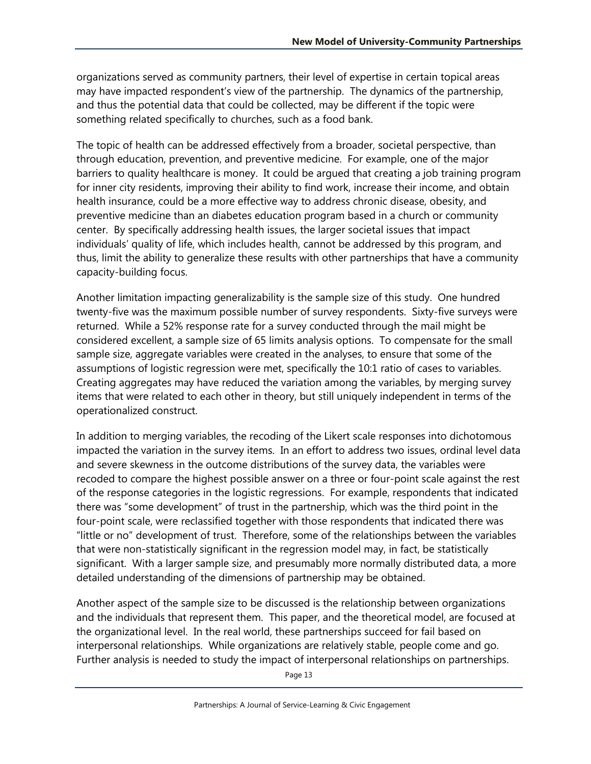organizations served as community partners, their level of expertise in certain topical areas may have impacted respondent's view of the partnership. The dynamics of the partnership, and thus the potential data that could be collected, may be different if the topic were something related specifically to churches, such as a food bank.

The topic of health can be addressed effectively from a broader, societal perspective, than through education, prevention, and preventive medicine. For example, one of the major barriers to quality healthcare is money. It could be argued that creating a job training program for inner city residents, improving their ability to find work, increase their income, and obtain health insurance, could be a more effective way to address chronic disease, obesity, and preventive medicine than an diabetes education program based in a church or community center. By specifically addressing health issues, the larger societal issues that impact individuals' quality of life, which includes health, cannot be addressed by this program, and thus, limit the ability to generalize these results with other partnerships that have a community capacity-building focus.

Another limitation impacting generalizability is the sample size of this study. One hundred twenty-five was the maximum possible number of survey respondents. Sixty-five surveys were returned. While a 52% response rate for a survey conducted through the mail might be considered excellent, a sample size of 65 limits analysis options. To compensate for the small sample size, aggregate variables were created in the analyses, to ensure that some of the assumptions of logistic regression were met, specifically the 10:1 ratio of cases to variables. Creating aggregates may have reduced the variation among the variables, by merging survey items that were related to each other in theory, but still uniquely independent in terms of the operationalized construct.

In addition to merging variables, the recoding of the Likert scale responses into dichotomous impacted the variation in the survey items. In an effort to address two issues, ordinal level data and severe skewness in the outcome distributions of the survey data, the variables were recoded to compare the highest possible answer on a three or four-point scale against the rest of the response categories in the logistic regressions. For example, respondents that indicated there was "some development" of trust in the partnership, which was the third point in the four-point scale, were reclassified together with those respondents that indicated there was "little or no" development of trust. Therefore, some of the relationships between the variables that were non-statistically significant in the regression model may, in fact, be statistically significant. With a larger sample size, and presumably more normally distributed data, a more detailed understanding of the dimensions of partnership may be obtained.

Another aspect of the sample size to be discussed is the relationship between organizations and the individuals that represent them. This paper, and the theoretical model, are focused at the organizational level. In the real world, these partnerships succeed for fail based on interpersonal relationships. While organizations are relatively stable, people come and go. Further analysis is needed to study the impact of interpersonal relationships on partnerships.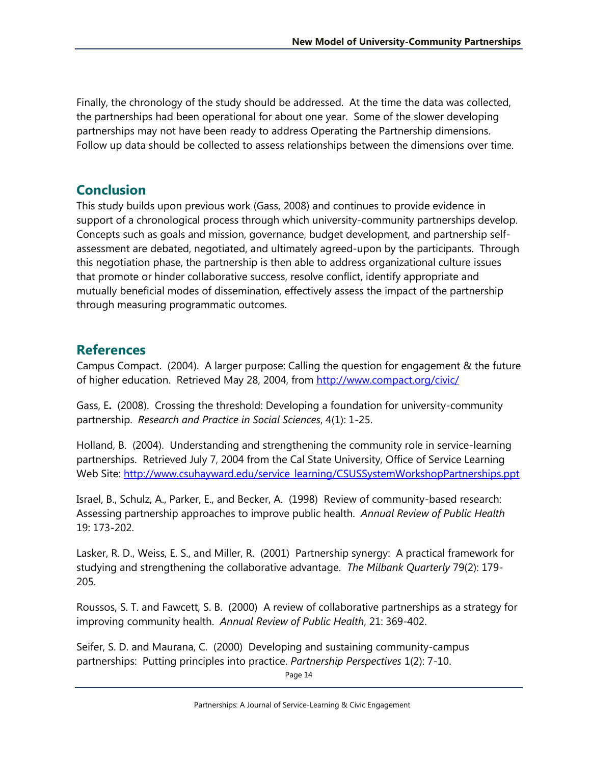Finally, the chronology of the study should be addressed. At the time the data was collected, the partnerships had been operational for about one year. Some of the slower developing partnerships may not have been ready to address Operating the Partnership dimensions. Follow up data should be collected to assess relationships between the dimensions over time.

## **Conclusion**

This study builds upon previous work (Gass, 2008) and continues to provide evidence in support of a chronological process through which university-community partnerships develop. Concepts such as goals and mission, governance, budget development, and partnership selfassessment are debated, negotiated, and ultimately agreed-upon by the participants. Through this negotiation phase, the partnership is then able to address organizational culture issues that promote or hinder collaborative success, resolve conflict, identify appropriate and mutually beneficial modes of dissemination, effectively assess the impact of the partnership through measuring programmatic outcomes.

## **References**

Campus Compact. (2004). A larger purpose: Calling the question for engagement & the future of higher education. Retrieved May 28, 2004, from<http://www.compact.org/civic/>

Gass, E**.** (2008). Crossing the threshold: Developing a foundation for university-community partnership. *Research and Practice in Social Sciences*, 4(1): 1-25.

Holland, B. (2004). Understanding and strengthening the community role in service-learning partnerships. Retrieved July 7, 2004 from the Cal State University, Office of Service Learning Web Site: [http://www.csuhayward.edu/service\\_learning/CSUSSystemWorkshopPartnerships.ppt](http://www.csuhayward.edu/service_learning/CSUSSystemWorkshopPartnerships.ppt)

Israel, B., Schulz, A., Parker, E., and Becker, A. (1998) Review of community-based research: Assessing partnership approaches to improve public health. *Annual Review of Public Health* 19: 173-202.

Lasker, R. D., Weiss, E. S., and Miller, R. (2001) Partnership synergy: A practical framework for studying and strengthening the collaborative advantage. *The Milbank Quarterly* 79(2): 179- 205.

Roussos, S. T. and Fawcett, S. B. (2000) A review of collaborative partnerships as a strategy for improving community health. *Annual Review of Public Health*, 21: 369-402.

Seifer, S. D. and Maurana, C. (2000) Developing and sustaining community-campus partnerships: Putting principles into practice. *Partnership Perspectives* 1(2): 7-10.